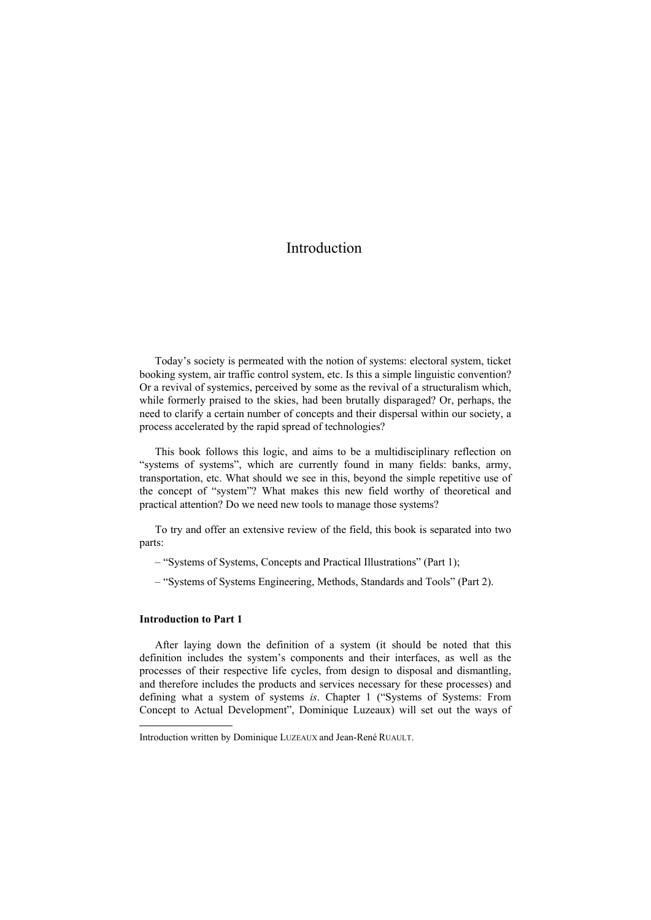## Introduction

Today's society is permeated with the notion of systems: electoral system, ticket booking system, air traffic control system, etc. Is this a simple linguistic convention? Or a revival of systemics, perceived by some as the revival of a structuralism which, while formerly praised to the skies, had been brutally disparaged? Or, perhaps, the need to clarify a certain number of concepts and their dispersal within our society, a process accelerated by the rapid spread of technologies?

This book follows this logic, and aims to be a multidisciplinary reflection on "systems of systems", which are currently found in many fields: banks, army, transportation, etc. What should we see in this, beyond the simple repetitive use of the concept of "system"? What makes this new field worthy of theoretical and practical attention? Do we need new tools to manage those systems?

To try and offer an extensive review of the field, this book is separated into two parts:

– "Systems of Systems, Concepts and Practical Illustrations" (Part 1);

– "Systems of Systems Engineering, Methods, Standards and Tools" (Part 2).

## **Introduction to Part 1**

 $\overline{a}$ 

After laying down the definition of a system (it should be noted that this definition includes the system's components and their interfaces, as well as the processes of their respective life cycles, from design to disposal and dismantling, and therefore includes the products and services necessary for these processes) and defining what a system of systems *is*. Chapter 1 ("Systems of Systems: From Concept to Actual Development", Dominique Luzeaux) will set out the ways of

Introduction written by Dominique LUZEAUX and Jean-René RUAULT.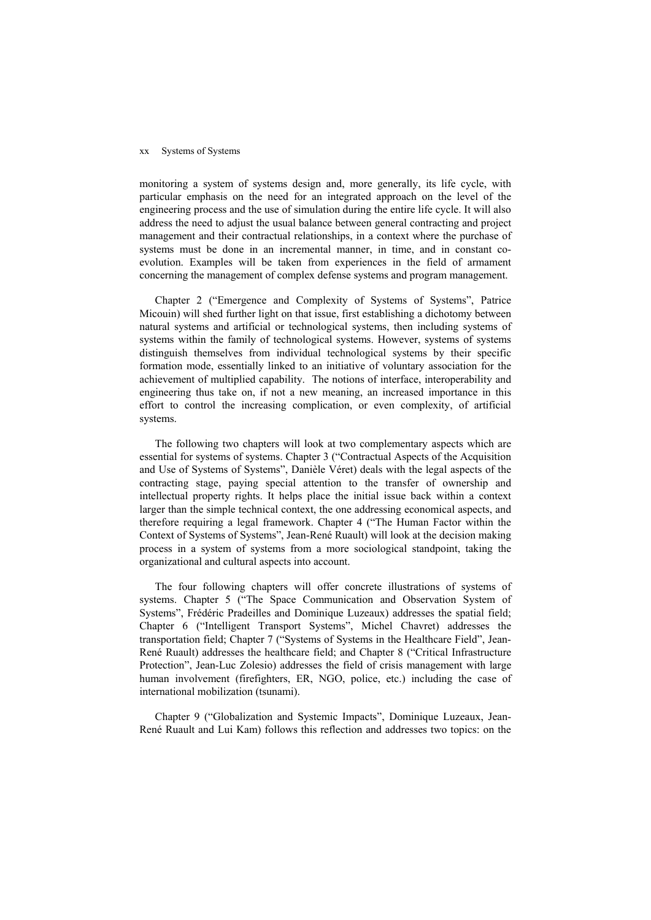## xx Systems of Systems

monitoring a system of systems design and, more generally, its life cycle, with particular emphasis on the need for an integrated approach on the level of the engineering process and the use of simulation during the entire life cycle. It will also address the need to adjust the usual balance between general contracting and project management and their contractual relationships, in a context where the purchase of systems must be done in an incremental manner, in time, and in constant coevolution. Examples will be taken from experiences in the field of armament concerning the management of complex defense systems and program management.

Chapter 2 ("Emergence and Complexity of Systems of Systems", Patrice Micouin) will shed further light on that issue, first establishing a dichotomy between natural systems and artificial or technological systems, then including systems of systems within the family of technological systems. However, systems of systems distinguish themselves from individual technological systems by their specific formation mode, essentially linked to an initiative of voluntary association for the achievement of multiplied capability. The notions of interface, interoperability and engineering thus take on, if not a new meaning, an increased importance in this effort to control the increasing complication, or even complexity, of artificial systems.

The following two chapters will look at two complementary aspects which are essential for systems of systems. Chapter 3 ("Contractual Aspects of the Acquisition and Use of Systems of Systems", Danièle Véret) deals with the legal aspects of the contracting stage, paying special attention to the transfer of ownership and intellectual property rights. It helps place the initial issue back within a context larger than the simple technical context, the one addressing economical aspects, and therefore requiring a legal framework. Chapter 4 ("The Human Factor within the Context of Systems of Systems", Jean-René Ruault) will look at the decision making process in a system of systems from a more sociological standpoint, taking the organizational and cultural aspects into account.

The four following chapters will offer concrete illustrations of systems of systems. Chapter 5 ("The Space Communication and Observation System of Systems", Frédéric Pradeilles and Dominique Luzeaux) addresses the spatial field; Chapter 6 ("Intelligent Transport Systems", Michel Chavret) addresses the transportation field; Chapter 7 ("Systems of Systems in the Healthcare Field", Jean-René Ruault) addresses the healthcare field; and Chapter 8 ("Critical Infrastructure Protection", Jean-Luc Zolesio) addresses the field of crisis management with large human involvement (firefighters, ER, NGO, police, etc.) including the case of international mobilization (tsunami).

Chapter 9 ("Globalization and Systemic Impacts", Dominique Luzeaux, Jean-René Ruault and Lui Kam) follows this reflection and addresses two topics: on the